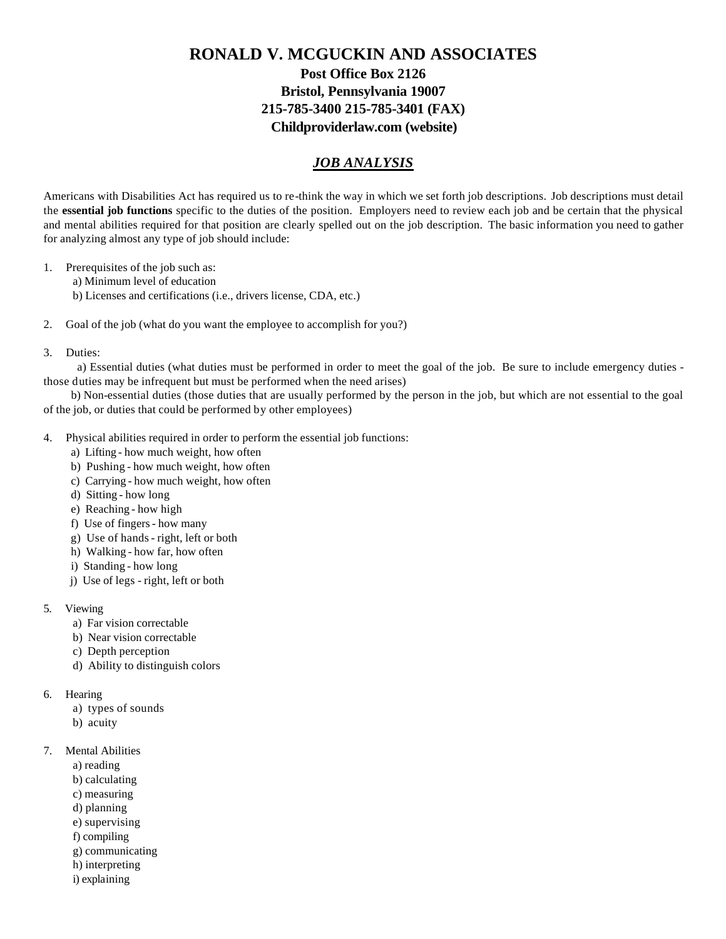## **RONALD V. MCGUCKIN AND ASSOCIATES Post Office Box 2126 Bristol, Pennsylvania 19007 215-785-3400 215-785-3401 (FAX) Childproviderlaw.com (website)**

## *JOB ANALYSIS*

Americans with Disabilities Act has required us to re-think the way in which we set forth job descriptions. Job descriptions must detail the **essential job functions** specific to the duties of the position. Employers need to review each job and be certain that the physical and mental abilities required for that position are clearly spelled out on the job description. The basic information you need to gather for analyzing almost any type of job should include:

- 1. Prerequisites of the job such as:
	- a) Minimum level of education
	- b) Licenses and certifications (i.e., drivers license, CDA, etc.)
- 2. Goal of the job (what do you want the employee to accomplish for you?)
- 3. Duties:

 a) Essential duties (what duties must be performed in order to meet the goal of the job. Be sure to include emergency duties those duties may be infrequent but must be performed when the need arises)

 b) Non-essential duties (those duties that are usually performed by the person in the job, but which are not essential to the goal of the job, or duties that could be performed by other employees)

- 4. Physical abilities required in order to perform the essential job functions:
	- a) Lifting how much weight, how often
	- b) Pushing how much weight, how often
	- c) Carrying how much weight, how often
	- d) Sitting how long
	- e) Reaching how high
	- f) Use of fingers how many
	- g) Use of hands right, left or both
	- h) Walking how far, how often
	- i) Standing how long
	- j) Use of legs right, left or both
- 5. Viewing
	- a) Far vision correctable
	- b) Near vision correctable
	- c) Depth perception
	- d) Ability to distinguish colors
- 6. Hearing
	- a) types of sounds
	- b) acuity
- 7. Mental Abilities
	- a) reading
	- b) calculating
	- c) measuring
	- d) planning
	- e) supervising
	- f) compiling
	- g) communicating
	- h) interpreting
	- i) explaining